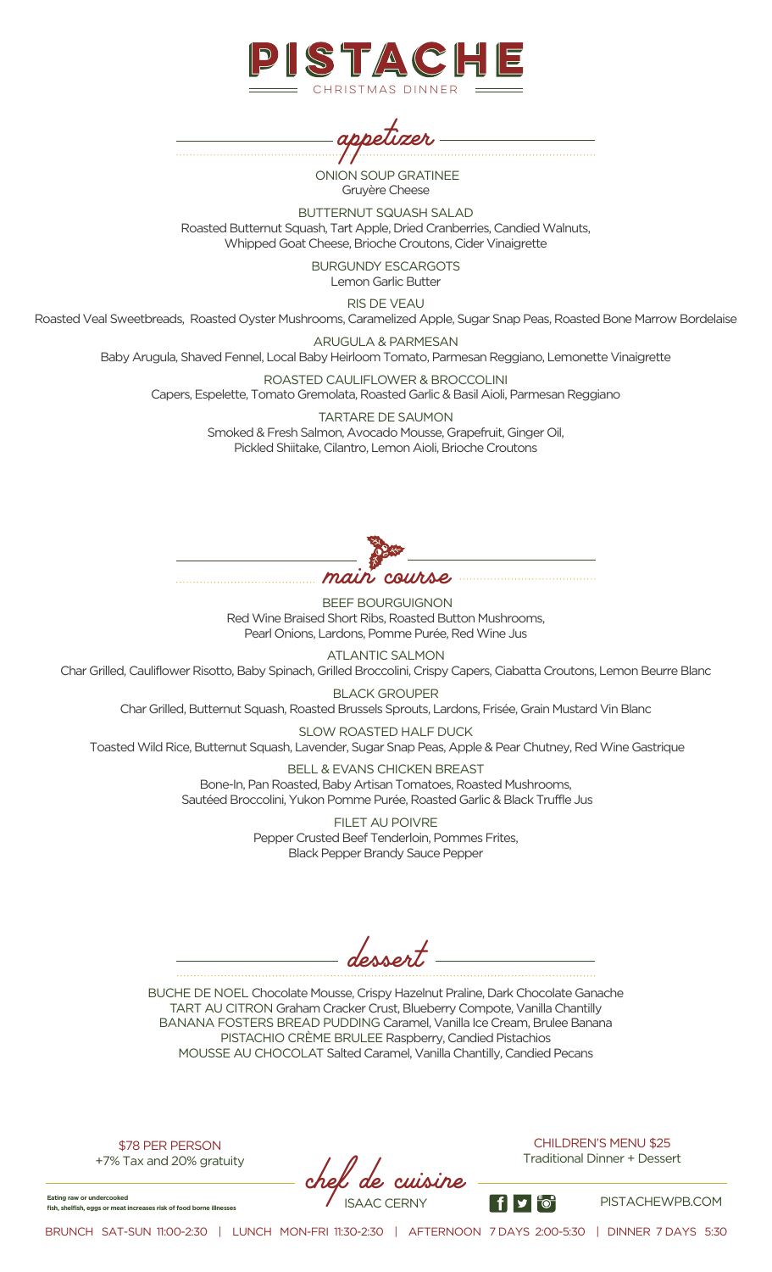



ONION SOUP GRATINEE Gruyère Cheese

BUTTERNUT SQUASH SALAD Roasted Butternut Squash, Tart Apple, Dried Cranberries, Candied Walnuts, Whipped Goat Cheese, Brioche Croutons, Cider Vinaigrette

> BURGUNDY ESCARGOTS Lemon Garlic Butter

> > RIS DE VEAU

Roasted Veal Sweetbreads, Roasted Oyster Mushrooms, Caramelized Apple, Sugar Snap Peas, Roasted Bone Marrow Bordelaise

ARUGULA & PARMESAN

Baby Arugula, Shaved Fennel, Local Baby Heirloom Tomato, Parmesan Reggiano, Lemonette Vinaigrette

ROASTED CAULIFLOWER & BROCCOLINI Capers, Espelette, Tomato Gremolata, Roasted Garlic & Basil Aioli, Parmesan Reggiano

> TARTARE DE SAUMON Smoked & Fresh Salmon, Avocado Mousse, Grapefruit, Ginger Oil, Pickled Shiitake, Cilantro, Lemon Aioli, Brioche Croutons



BEEF BOURGUIGNON Red Wine Braised Short Ribs, Roasted Button Mushrooms, Pearl Onions, Lardons, Pomme Purée, Red Wine Jus

ATLANTIC SALMON

Char Grilled, Cauliflower Risotto, Baby Spinach, Grilled Broccolini, Crispy Capers, Ciabatta Croutons, Lemon Beurre Blanc

BLACK GROUPER Char Grilled, Butternut Squash, Roasted Brussels Sprouts, Lardons, Frisée, Grain Mustard Vin Blanc

SLOW ROASTED HALF DUCK Toasted Wild Rice, Butternut Squash, Lavender, Sugar Snap Peas, Apple & Pear Chutney, Red Wine Gastrique

> BELL & EVANS CHICKEN BREAST Bone-In, Pan Roasted, Baby Artisan Tomatoes, Roasted Mushrooms, Sautéed Broccolini, Yukon Pomme Purée, Roasted Garlic & Black Truffle Jus

> > FILET AU POIVRE Pepper Crusted Beef Tenderloin, Pommes Frites, Black Pepper Brandy Sauce Pepper

*dessert*

BUCHE DE NOEL Chocolate Mousse, Crispy Hazelnut Praline, Dark Chocolate Ganache TART AU CITRON Graham Cracker Crust, Blueberry Compote, Vanilla Chantilly BANANA FOSTERS BREAD PUDDING Caramel, Vanilla Ice Cream, Brulee Banana PISTACHIO CRÈME BRULEE Raspberry, Candied Pistachios MOUSSE AU CHOCOLAT Salted Caramel, Vanilla Chantilly, Candied Pecans

\$78 PER PERSON +7% Tax and 20% gratuity

**Eating raw or undercooked**<br> **fish, shelfish, eggs or meat increases risk of food borne illnesses** ISAAC CERNY **PISTACHEWPB.COM** 

CHILDREN'S MENU \$25 Traditional Dinner + Dessert